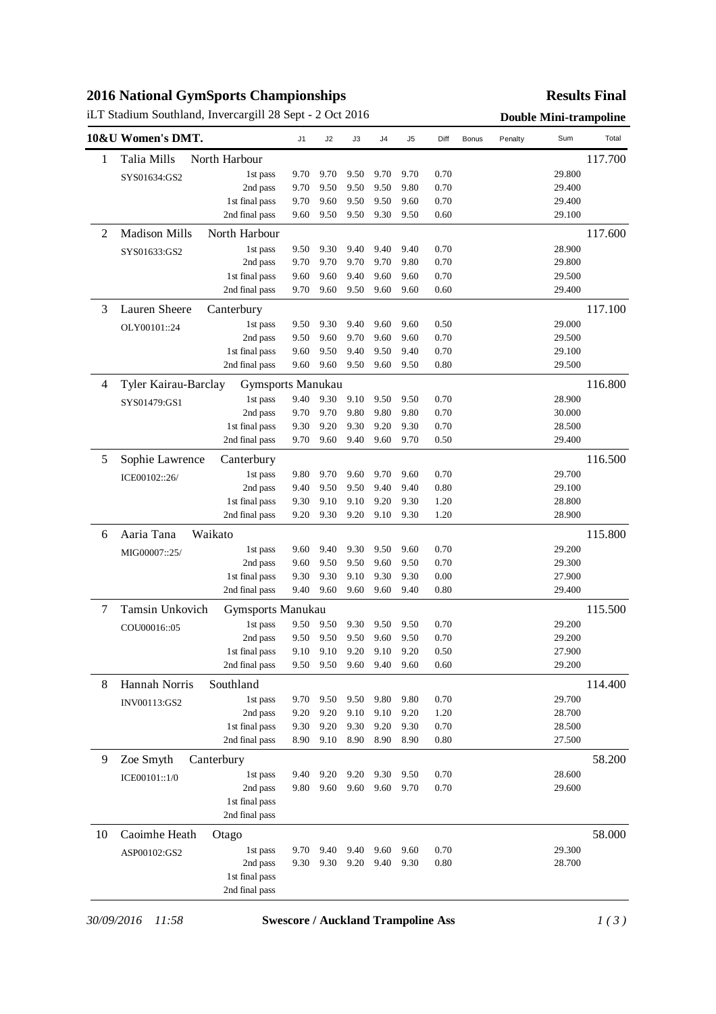# **2016 National GymSports Championships**

# iLT Stadium Southland, Invercargill 28 Sept - 2 Oct 2016 **Double Mini-trampoline**

### **Results Final**

|                | 10&U Women's DMT.    |                                  | J1           | J2           | J3           | J4           | J <sub>5</sub> | Diff         | <b>Bonus</b> | Penalty | Sum              | Total   |
|----------------|----------------------|----------------------------------|--------------|--------------|--------------|--------------|----------------|--------------|--------------|---------|------------------|---------|
| 1              | Talia Mills          | North Harbour                    |              |              |              |              |                |              |              |         |                  | 117.700 |
|                | SYS01634:GS2         | 1st pass                         | 9.70         | 9.70         | 9.50         | 9.70         | 9.70           | 0.70         |              |         | 29.800           |         |
|                |                      | 2nd pass                         | 9.70         | 9.50         | 9.50         | 9.50         | 9.80           | 0.70         |              |         | 29.400           |         |
|                |                      | 1st final pass                   | 9.70         | 9.60         | 9.50         | 9.50         | 9.60           | 0.70         |              |         | 29.400           |         |
|                |                      | 2nd final pass                   | 9.60         | 9.50         | 9.50         | 9.30         | 9.50           | 0.60         |              |         | 29.100           |         |
| $\overline{c}$ | <b>Madison Mills</b> | North Harbour                    |              |              |              |              |                |              |              |         |                  | 117.600 |
|                | SYS01633:GS2         | 1st pass                         | 9.50         | 9.30         | 9.40         | 9.40         | 9.40           | 0.70         |              |         | 28.900           |         |
|                |                      | 2nd pass                         | 9.70         | 9.70         | 9.70         | 9.70         | 9.80           | 0.70         |              |         | 29.800           |         |
|                |                      | 1st final pass                   | 9.60         | 9.60         | 9.40         | 9.60         | 9.60           | 0.70         |              |         | 29.500           |         |
|                |                      | 2nd final pass                   | 9.70         | 9.60         | 9.50         | 9.60         | 9.60           | 0.60         |              |         | 29.400           |         |
| 3              | Lauren Sheere        | Canterbury                       |              |              |              |              |                |              |              |         |                  | 117.100 |
|                | OLY00101::24         | 1st pass                         | 9.50         | 9.30         | 9.40         | 9.60         | 9.60           | 0.50         |              |         | 29.000           |         |
|                |                      | 2nd pass                         | 9.50         | 9.60         | 9.70         | 9.60         | 9.60           | 0.70         |              |         | 29.500           |         |
|                |                      | 1st final pass                   | 9.60         | 9.50         | 9.40         | 9.50         | 9.40           | 0.70         |              |         | 29.100           |         |
|                |                      | 2nd final pass                   | 9.60         | 9.60         | 9.50         | 9.60         | 9.50           | 0.80         |              |         | 29.500           |         |
| 4              | Tyler Kairau-Barclay | Gymsports Manukau                |              |              |              |              |                |              |              |         |                  | 116.800 |
|                | SYS01479:GS1         | 1st pass                         | 9.40         | 9.30         | 9.10         | 9.50         | 9.50           | 0.70         |              |         | 28.900           |         |
|                |                      | 2nd pass                         | 9.70         | 9.70         | 9.80         | 9.80         | 9.80           | 0.70         |              |         | 30.000           |         |
|                |                      | 1st final pass                   | 9.30         | 9.20         | 9.30         | 9.20         | 9.30           | 0.70         |              |         | 28.500           |         |
|                |                      | 2nd final pass                   | 9.70         | 9.60         | 9.40         | 9.60         | 9.70           | 0.50         |              |         | 29.400           |         |
| 5              | Sophie Lawrence      | Canterbury                       |              |              |              |              |                |              |              |         |                  | 116.500 |
|                | ICE00102::26/        | 1st pass                         | 9.80         | 9.70         | 9.60         | 9.70         | 9.60           | 0.70         |              |         | 29.700           |         |
|                |                      | 2nd pass                         | 9.40         | 9.50         | 9.50         | 9.40         | 9.40           | 0.80         |              |         | 29.100           |         |
|                |                      | 1st final pass<br>2nd final pass | 9.30<br>9.20 | 9.10<br>9.30 | 9.10<br>9.20 | 9.20<br>9.10 | 9.30<br>9.30   | 1.20<br>1.20 |              |         | 28.800<br>28.900 |         |
|                |                      |                                  |              |              |              |              |                |              |              |         |                  |         |
| 6              | Aaria Tana           | Waikato                          |              |              |              |              |                |              |              |         |                  | 115.800 |
|                | MIG00007::25/        | 1st pass                         | 9.60         | 9.40         | 9.30         | 9.50         | 9.60           | 0.70         |              |         | 29.200           |         |
|                |                      | 2nd pass                         | 9.60         | 9.50         | 9.50         | 9.60         | 9.50           | 0.70         |              |         | 29.300           |         |
|                |                      | 1st final pass<br>2nd final pass | 9.30<br>9.40 | 9.30<br>9.60 | 9.10<br>9.60 | 9.30<br>9.60 | 9.30<br>9.40   | 0.00<br>0.80 |              |         | 27.900<br>29.400 |         |
|                | Tamsin Unkovich      |                                  |              |              |              |              |                |              |              |         |                  | 115.500 |
| 7              |                      | Gymsports Manukau                |              |              |              |              |                | 0.70         |              |         | 29.200           |         |
|                | COU00016::05         | 1st pass<br>2nd pass             | 9.50<br>9.50 | 9.50<br>9.50 | 9.30<br>9.50 | 9.50<br>9.60 | 9.50<br>9.50   | 0.70         |              |         | 29.200           |         |
|                |                      | 1 st final pass                  | 9.10         | 9.10         | 9.20         | 9.10         | 9.20           | 0.50         |              |         | 27.900           |         |
|                |                      | 2nd final pass                   | 9.50         | 9.50         | 9.60         | 9.40         | 9.60           | 0.60         |              |         | 29.200           |         |
| 8              | Hannah Norris        | Southland                        |              |              |              |              |                |              |              |         |                  | 114.400 |
|                | INV00113:GS2         | 1st pass                         | 9.70         | 9.50         | 9.50         | 9.80         | 9.80           | 0.70         |              |         | 29.700           |         |
|                |                      | 2nd pass                         | 9.20         | 9.20         | 9.10         | 9.10         | 9.20           | 1.20         |              |         | 28.700           |         |
|                |                      | 1st final pass                   | 9.30         | 9.20         | 9.30         | 9.20         | 9.30           | 0.70         |              |         | 28.500           |         |
|                |                      | 2nd final pass                   | 8.90         | 9.10         | 8.90         | 8.90         | 8.90           | 0.80         |              |         | 27.500           |         |
| 9              | Zoe Smyth            | Canterbury                       |              |              |              |              |                |              |              |         |                  | 58.200  |
|                | ICE00101::1/0        | 1st pass                         | 9.40         | 9.20         | 9.20         | 9.30         | 9.50           | 0.70         |              |         | 28.600           |         |
|                |                      | 2nd pass                         | 9.80         | 9.60         | 9.60         | 9.60         | 9.70           | 0.70         |              |         | 29.600           |         |
|                |                      | 1st final pass                   |              |              |              |              |                |              |              |         |                  |         |
|                |                      | 2nd final pass                   |              |              |              |              |                |              |              |         |                  |         |
| 10             | Caoimhe Heath        | Otago                            |              |              |              |              |                |              |              |         |                  | 58.000  |
|                | ASP00102:GS2         | 1st pass                         | 9.70         | 9.40         | 9.40         | 9.60         | 9.60           | 0.70         |              |         | 29.300           |         |
|                |                      | 2nd pass                         | 9.30         | 9.30         | 9.20         | 9.40         | 9.30           | 0.80         |              |         | 28.700           |         |
|                |                      | 1st final pass                   |              |              |              |              |                |              |              |         |                  |         |
|                |                      | 2nd final pass                   |              |              |              |              |                |              |              |         |                  |         |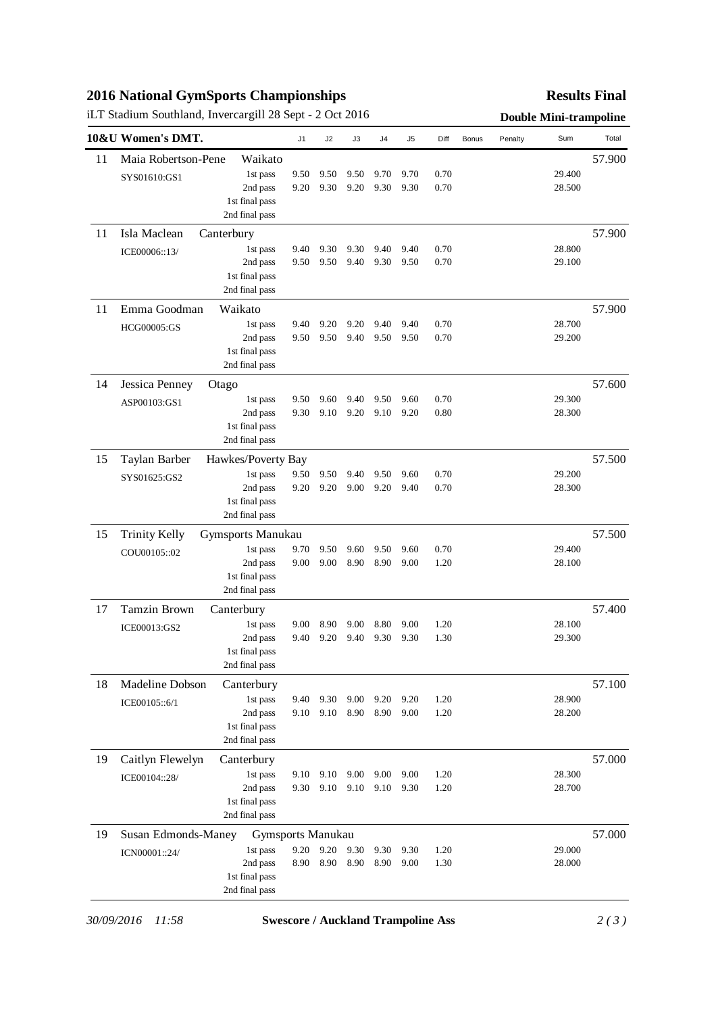# **2016 National GymSports Championships**

## iLT Stadium Southland, Invercargill 28 Sept - 2 Oct 2016 **Double Mini-trampoline**

### **Results Final**

|    | 10&U Women's DMT.    |                                  | J1           | J <sub>2</sub> | J3   | J <sub>4</sub> | J5   | Diff | Bonus | Penalty | Sum    | Total  |
|----|----------------------|----------------------------------|--------------|----------------|------|----------------|------|------|-------|---------|--------|--------|
| 11 | Maia Robertson-Pene  | Waikato                          |              |                |      |                |      |      |       |         |        | 57.900 |
|    | SYS01610:GS1         | 1st pass                         | 9.50         | 9.50           | 9.50 | 9.70           | 9.70 | 0.70 |       |         | 29.400 |        |
|    |                      | 2nd pass                         | 9.20         | 9.30           | 9.20 | 9.30           | 9.30 | 0.70 |       |         | 28.500 |        |
|    |                      | 1st final pass                   |              |                |      |                |      |      |       |         |        |        |
|    |                      | 2nd final pass                   |              |                |      |                |      |      |       |         |        |        |
| 11 | Isla Maclean         | Canterbury                       |              |                |      |                |      |      |       |         |        | 57.900 |
|    | ICE00006::13/        | 1st pass                         | 9.40         | 9.30           | 9.30 | 9.40           | 9.40 | 0.70 |       |         | 28.800 |        |
|    |                      | 2nd pass                         | 9.50         | 9.50           | 9.40 | 9.30           | 9.50 | 0.70 |       |         | 29.100 |        |
|    |                      | 1st final pass<br>2nd final pass |              |                |      |                |      |      |       |         |        |        |
| 11 | Emma Goodman         | Waikato                          |              |                |      |                |      |      |       |         |        | 57.900 |
|    | <b>HCG00005:GS</b>   | 1st pass                         | 9.40         | 9.20           | 9.20 | 9.40           | 9.40 | 0.70 |       |         | 28.700 |        |
|    |                      | 2nd pass                         | 9.50         | 9.50           | 9.40 | 9.50           | 9.50 | 0.70 |       |         | 29.200 |        |
|    |                      | 1st final pass                   |              |                |      |                |      |      |       |         |        |        |
|    |                      | 2nd final pass                   |              |                |      |                |      |      |       |         |        |        |
| 14 | Jessica Penney       | Otago                            |              |                |      |                |      |      |       |         |        | 57.600 |
|    | ASP00103:GS1         | 1st pass                         | 9.50         | 9.60           | 9.40 | 9.50           | 9.60 | 0.70 |       |         | 29.300 |        |
|    |                      | 2nd pass                         | 9.30         | 9.10           | 9.20 | 9.10           | 9.20 | 0.80 |       |         | 28.300 |        |
|    |                      | 1st final pass                   |              |                |      |                |      |      |       |         |        |        |
|    |                      | 2nd final pass                   |              |                |      |                |      |      |       |         |        |        |
| 15 | Taylan Barber        | Hawkes/Poverty Bay               |              | 9.50           | 9.40 | 9.50           | 9.60 | 0.70 |       |         | 29.200 | 57.500 |
|    | SYS01625:GS2         | 1st pass<br>2nd pass             | 9.50<br>9.20 | 9.20           | 9.00 | 9.20           | 9.40 | 0.70 |       |         | 28.300 |        |
|    |                      | 1st final pass                   |              |                |      |                |      |      |       |         |        |        |
|    |                      | 2nd final pass                   |              |                |      |                |      |      |       |         |        |        |
| 15 | <b>Trinity Kelly</b> | Gymsports Manukau                |              |                |      |                |      |      |       |         |        | 57.500 |
|    | COU00105::02         | 1st pass                         | 9.70         | 9.50           | 9.60 | 9.50           | 9.60 | 0.70 |       |         | 29.400 |        |
|    |                      | 2nd pass                         | 9.00         | 9.00           | 8.90 | 8.90           | 9.00 | 1.20 |       |         | 28.100 |        |
|    |                      | 1st final pass                   |              |                |      |                |      |      |       |         |        |        |
|    |                      | 2nd final pass                   |              |                |      |                |      |      |       |         |        |        |
| 17 | <b>Tamzin Brown</b>  | Canterbury                       |              |                |      |                |      |      |       |         |        | 57.400 |
|    | ICE00013:GS2         | 1st pass                         | 9.00         | 8.90           | 9.00 | 8.80           | 9.00 | 1.20 |       |         | 28.100 |        |
|    |                      | 2nd pass<br>1st final pass       | 9.40         | 9.20           | 9.40 | 9.30           | 9.30 | 1.30 |       |         | 29.300 |        |
|    |                      | 2nd final pass                   |              |                |      |                |      |      |       |         |        |        |
| 18 | Madeline Dobson      | Canterbury                       |              |                |      |                |      |      |       |         |        | 57.100 |
|    | ICE00105::6/1        | 1st pass                         | 9.40         | 9.30           | 9.00 | 9.20           | 9.20 | 1.20 |       |         | 28.900 |        |
|    |                      | 2nd pass                         | 9.10         | 9.10           | 8.90 | 8.90           | 9.00 | 1.20 |       |         | 28.200 |        |
|    |                      | 1st final pass                   |              |                |      |                |      |      |       |         |        |        |
|    |                      | 2nd final pass                   |              |                |      |                |      |      |       |         |        |        |
| 19 | Caitlyn Flewelyn     | Canterbury                       |              |                |      |                |      |      |       |         |        | 57.000 |
|    | ICE00104::28/        | 1st pass                         | 9.10         | 9.10           | 9.00 | 9.00           | 9.00 | 1.20 |       |         | 28.300 |        |
|    |                      | 2nd pass                         | 9.30         | 9.10           | 9.10 | 9.10           | 9.30 | 1.20 |       |         | 28.700 |        |
|    |                      | 1st final pass<br>2nd final pass |              |                |      |                |      |      |       |         |        |        |
| 19 |                      |                                  |              |                |      |                |      |      |       |         |        | 57.000 |
|    | Susan Edmonds-Maney  | Gymsports Manukau<br>1st pass    | 9.20         | 9.20           | 9.30 | 9.30           | 9.30 | 1.20 |       |         | 29.000 |        |
|    | ICN00001::24/        | 2nd pass                         | 8.90         | 8.90           | 8.90 | 8.90           | 9.00 | 1.30 |       |         | 28.000 |        |
|    |                      | 1st final pass                   |              |                |      |                |      |      |       |         |        |        |
|    |                      | 2nd final pass                   |              |                |      |                |      |      |       |         |        |        |

*30/09/2016 11:58* **Swescore / Auckland Trampoline Ass** *2 ( 3 )*